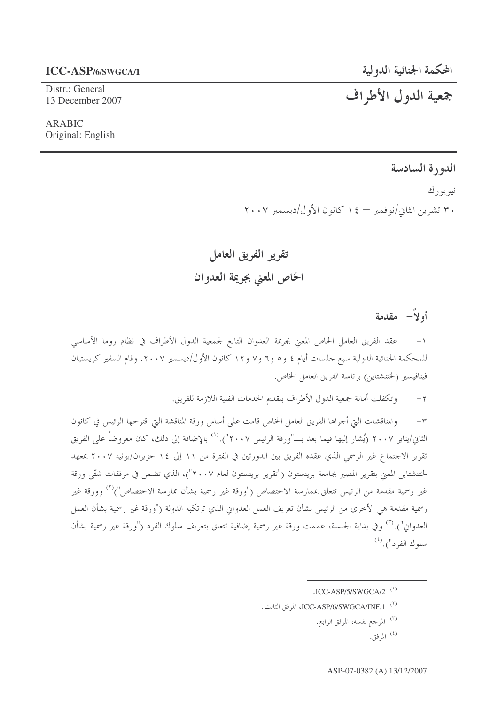#### **ICC-ASP/6/SWGCA/1**

Distr.: General 13 December 2007

**ARABIC** Original: English

# جمعية الدول الأطراف

# الدورة السادسة

نيو يو ر ك

۳۰ تشرین الثانی/نوفمبر – ۱٤ کانون الأول/دیسمبر ۲۰۰۷

تقرير الفريق العامل الخاص المعنى بجريمة العدوان

أولاً – مقدمة

عقد الفريق العامل الخاص المعنى بجريمة العدوان التابع لجمعية الدول الأطراف في نظام روما الأساسي  $\overline{\phantom{0}}$ للمحكمة الجنائية الدولية سبع جلسات أيام ٤ و٥ و٦ و٧ و١٢ كانون الأول/ديسمبر ٢٠٠٧. وقام السفير كريستيان فينافيسير (لختنشتاين) برئاسة الفريق العامل الخاص.

> وتكفلت أمانة جمعية الدول الأطراف بتقديم الحدمات الفنية اللازمة للفريق.  $-\tau$

والمناقشات التي أجراها الفريق العامل الخاص قامت على أساس ورقة المناقشة التي اقترحها الرئيس في كانون  $-\tau$ الثاني/يناير ٢٠٠٧ (يُشار إليها فيما بعد بـــ"ورقة الرئيس ٢٠٠٧").<sup>(١)</sup> بالإضافة إلى ذلك، كان معروضاً على الفريق تقرير الاجتماع غير الرسمي الذي عقده الفريق بين الدورتين في الفترة من ١١ إلى ١٤ حزيران/يونيه ٢٠٠٧ بمعهد لختنشتاين المعنى بتقرير المصير بجامعة برينستون ("تقرير برينستون لعام ٢٠٠٧")، الذي تضمن في مرفقات شتّى ورقة غير رسمية مقدمة من الرئيس تتعلق بممارسة الاختصاص ("ورقة غير رسمية بشأن ممارسة الاختصاص")<sup>(٢)</sup> وورقة غير رسمية مقدمة هي الأخرى من الرئيس بشأن تعريف العمل العدواني الذي ترتكبه الدولة ("ورقة غير رسمية بشأن العمل العدواني").'`` وفي بداية الجلسة، عممت ورقة غير رسمية إضافية تتعلق بتعريف سلوك الفرد ("ورقة غير رسمية بشأن سلوك الفرد"). (2)

<sup>.</sup>ICC-ASP/5/SWGCA/2<sup>(1)</sup>

<sup>(</sup>٢) ICC-ASP/6/SWGCA/INF.1 المرفق الثالث.

<sup>(</sup>٣) المرجع نفسه، المرفق الرابع.

 $\lambda^{(2)}$ المرفق.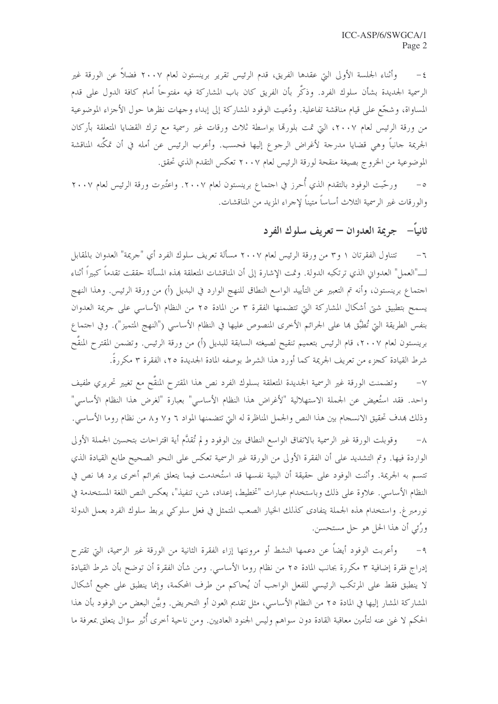وأثناء الجلسة الأولى التي عقدها الفريق، قدم الرئيس تقرير برينستون لعام ٢٠٠٧ فضلاً عن الورقة غير  $-\xi$ الرسمية الجديدة بشأن سلوك الفرد. وذكَّر بأن الفريق كان باب المشاركة فيه مفتوحاً أمام كافة الدول على قدم المساواة، وشجَّع على قيام مناقشة تفاعلية. ودُعيت الوفود المشاركة إلى إبداء وجهات نظرها حول الأجزاء الموضوعية من ورقة الرئيس لعام ٢٠٠٧، التي تمت بلورقما بواسطة ثلاث ورقات غير رسمية مع ترك القضايا المتعلقة بأركان الجريمة جانباً وهي قضايا مدرجة لأغراض الرجوع إليها فحسب. وأعرب الرئيس عن أمله في أن تمكُّنه المناقشة الموضوعية من الخروج بصيغة منقحة لورقة الرئيس لعام ٢٠٠٧ تعكس التقدم الذي تحقق.

٥– ورحَّبت الوفود بالتقدم الذي أُحرز في احتماع برينستون لعام ٢٠٠٧. واعتُبرت ورقة الرئيس لعام ٢٠٠٧ والورقات غير الرسمية الثلاث أساساً متيناً لإحراء المزيد من المناقشات.

# ثانياً– جريمة العدوان – تعريف سلوك الفرد

تتناول الفقرتان ١ و٣ من ورقة الرئيس لعام ٢٠٠٧ مسألة تعريف سلوك الفرد أي "جريمة" العدوان بالمقابل  $-7$ لـــ"العمل" العدوان الذي ترتكبه الدولة. وتمت الإشارة إلى أن المناقشات المتعلقة بمذه المسألة حققت تقدماً كبيراً أثناء احتماع برينستون، وأنه تم التعبير عن التأييد الواسع النطاق للنهج الوارد في البديل (أ) من ورقة الرئيس. وهذا النهج يسمح بتطبيق شيٍّ أشكال المشاركة التيّ تتضمنها الفقرة ٣ من المادة ٢٥ من النظام الأساسي على حريمة العدوان بنفس الطريقة التي تُطبَّق هما على الجرائم الأخرى المنصوص عليها في النظام الأساسي ("النهج المتميز"). وفي احتماع برينستون لعام ٢٠٠٧، قام الرئيس بتعميم تنقيح لصيغته السابقة للبديل (أ) من ورقة الرئيس. وتضمن المقترح المنقّح شرط القيادة كجزء من تعريف الجريمة كما أورد هذا الشرط بوصفه المادة الجديدة ٢٥، الفقرة ٣ مكررةً.

٧– وتضمنت الورقة غير الرسمية الجديدة المتعلقة بسلوك الفرد نص هذا المقترح المنقَّح مع تغيير تحريري طفيف واحد. فقد استُعيض عن الجملة الاستهلالية "لأغراض هذا النظام الأساسي" بعبارة "لغرض هذا النظام الأساسي" وذلك بهدف تحقيق الانسجام بين هذا النص والجمل المناظرة له التي تتضمنها المواد ٦ و٧ و٨ من نظام روما الأساسي. وقوبلت الورقة غير الرسمية بالاتفاق الواسع النطاق بين الوفود ولم تُقدَّم أية اقتراحات بتحسين الجملة الأولى  $-\lambda$ 

الواردة فيها. وتم التشديد على أن الفقرة الأولى من الورقة غير الرسمية تعكس على النحو الصحيح طابع القيادة الذي تتسم به الجريمة. وأثنت الوفود على حقيقة أن البنية نفسها قد استُخدمت فيما يتعلق بجرائم أحرى يرد بما نص في النظام الأساسي. علاوة على ذلك وباستخدام عبارات "تخطيط، إعداد، شن، تنفيذ"، يعكس النص اللغة المستخدمة في نورمبرغ. واستخدام هذه الجملة يتفادى كذلك الخيار الصعب المتمثل في فعل سلوكي يربط سلوك الفرد بعمل الدولة ورُئي أن هذا الحل هو حل مستحسن.

وأعربت الوفود أيضاً عن دعمها النشط أو مرونتها إزاء الفقرة الثانية من الورقة غير الرسمية، التي تقترح  $-9$ إدراج فقرة إضافية ٣ مكررة بجانب المادة ٢٥ من نظام روما الأساسي. ومن شأن الفقرة أن توضح بأن شرط القيادة لا ينطبق فقط على المرتكب الرئيسي للفعل الواحب أن يُحاكم من طرف المحكمة، وإنما ينطبق على جميع أشكال المشاركة المشار إليها في المادة ٢٥ من النظام الأساسي، مثل تقديم العون أو التحريض. وبيَّن البعض من الوفود بأن هذا الحكم لا غني عنه لتأمين معاقبة القادة دون سواهم وليس الجنود العاديين. ومن ناحية أخرى أثير سؤال يتعلق بمعرفة ما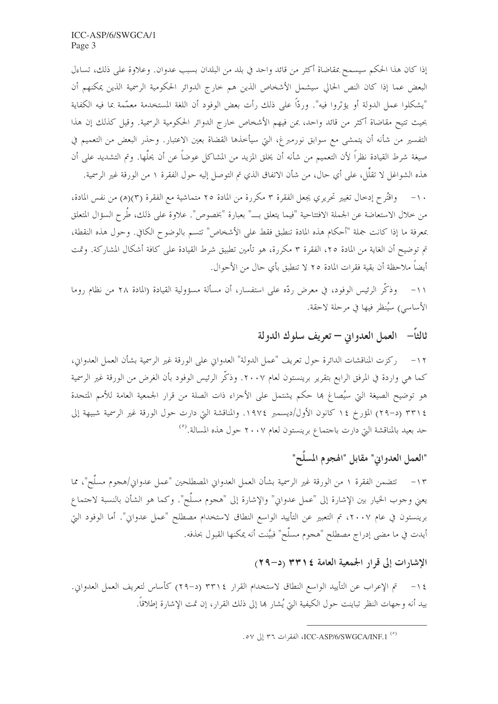إذا كان هذا الحكم سيسمح بمقاضاة أكثر من قائد واحد في بلد من البلدان بسبب عدوان. وعلاوة على ذلك، تساءل البعض عما إذا كان النص الحالي سيشمل الأشخاص الذين هم حارج الدوائر الحكومية الرسمية الذين يمكنهم أن "يشكلوا عمل الدولة أو يؤثروا فيه". وردًّا على ذلك رأت بعض الوفود أن اللغة المستخدمة معمَّمة بما فيه الكفاية بحيث تتيح مقاضاة أكثر من قائد واحد، بمن فيهم الأشخاص خارج الدوائر الحكومية الرسمية. وقيل كذلك إن هذا التفسير من شأنه أن يتمشى مع سوابق نورمبرغ، التي سيأخذها القضاة بعين الاعتبار. وحذر البعض من التعميم في صيغة شرط القيادة نظراً لأن التعميم من شأنه أن يخلق المزيد من المشاكل عوضاً عن أن يحلَّها. وتم التشديد على أن هذه الشواغل لا تقلُّل، على أي حال، من شأن الاتفاق الذي تم التوصل إليه حول الفقرة ١ من الورقة غير الرسمية.

١٠- واقتُرح إدخال تغيير تحريري يجعل الفقرة ٣ مكررة من المادة ٢٥ متماشية مع الفقرة (٣)(ه) من نفس المادة، من خلال الاستعاضة عن الجملة الافتتاحية "فيما يتعلق بـــ" بعبارة "بخصوص". علاوة على ذلك، طُرح السؤال المتعلق بمعرفة ما إذا كانت جملة "أحكام هذه المادة تنطبق فقط على الأشخاص" تتسم بالوضوح الكافي. وحول هذه النقطة، تم توضيح أن الغاية من المادة ٢٥، الفقرة ٣ مكررة، هو تأمين تطبيق شرط القيادة على كافة أشكال المشاركة. وتمت أيضاً ملاحظة أن بقية فقرات المادة ٢٥ لا تنطبق بأي حال من الأحوال.

١١- وذكَّر الرئيس الوفود، في معرض ردَّه على استفسار، أن مسألة مسؤولية القيادة (المادة ٢٨ من نظام روما الأساسي) سيُنظر فيها في مرحلة لاحقة.

ثالثاً— العمل العدواني — تعريف سلوك الدولة

١٢- ركزت المناقشات الدائرة حول تعريف "عمل الدولة" العدواني على الورقة غير الرسمية بشأن العمل العدواني، كما هي واردة في المرفق الرابع بتقرير برينستون لعام ٢٠٠٧. وذكَّر الرئيس الوفود بأن الغرض من الورقة غير الرسمية هو توضيح الصيغة التي سيُصاغ بما حكم يشتمل على الأحزاء ذات الصلة من قرار الجمعية العامة للأمم المتحدة ٢٣١٤ (د–٢٩) المؤرخ ١٤ كانون الأول/ديسمبر ١٩٧٤. والمناقشة التي دارت حول الورقة غير الرسمية شبيهة إلى حد بعيد بالمناقشة التي دارت باحتماع برينستون لعام ٢٠٠٧ حول هذه المسالة.<sup>(٥)</sup>

# "العمل العدواني" مقابل "الهجوم المسلَّح"

١٣ – تتضمن الفقرة ١ من الورقة غير الرسمية بشأن العمل العدواني المصطلحين "عمل عدواني/هجوم مسلَّح"، مما يعني وحوب الخيار بين الإشارة إلى "عمل عدواني" والإشارة إلى "هجوم مسلَّح". وكما هو الشأن بالنسبة لاحتماع برينستون في عام ٢٠٠٧، تم التعبير عن التأييد الواسع النطاق لاستخدام مصطلح "عمل عدواني". أما الوفود التي أيدت في ما مضى إدراج مصطلح "هجوم مسلَّح" فبيَّنت أنه يمكنها القبول بحذفه.

### الإشارات إلى قرار الجمعية العامة ٢٣١٤ (د−٢٩)

١٤ – تم الإعراب عن التأييد الواسع النطاق لاستخدام القرار ٣٣١٤ (د–٢٩) كأساس لتعريف العمل العدواني. بيد أنه وجهات النظر تباينت حول الكيفية التيّ يُشار ها إلى ذلك القرار، إن تمت الإشارة إطلاقاً.

<sup>(°)</sup> ICC-ASP/6/SWGCA/INF.1، الفقرات ٣٦ إلى ٥٧.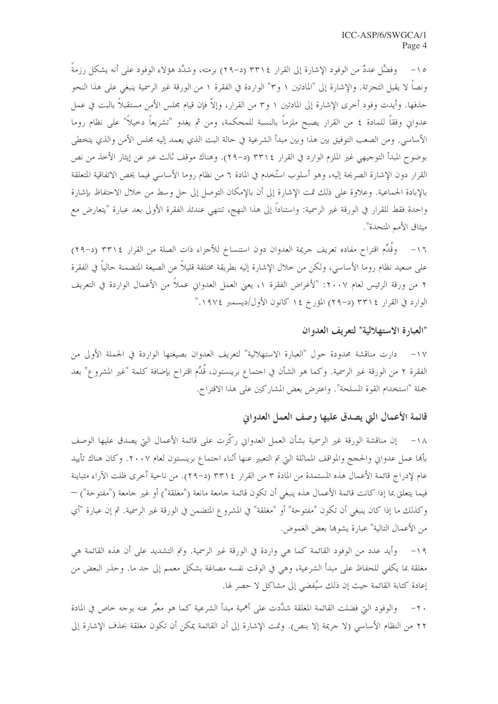١٥ – وفضَّا عددٌ من الوفود الإشارة إلى القرار ٣٣١٤ (د-٢٩) برمته، وشدَّد هؤلاء الوفود على أنه يشكل رزمةً ونصاً لا يقبل التجزئة. والإشارة إلى "المادتين ١ و٣" الواردة في الفقرة ١ من الورقة غير الرسمية ينبغي على هذا النحو حذفها. وأيدت وفود أخرى الإشارة إلى المادتين ١ و٣ من القرار، وإلاَّ فإن قيام مجلس الأمن مستقبلاً بالبت في عمل عدواني وفقاً للمادة ٤ من القرار يصبح ملزماً بالنسبة للمحكمة، ومن ثم يغدو "تشريعاً دحيلاً" على نظام روما الأساسي. ومن الصعب التوفيق بين هذا وبين مبدأ الشرعية في حالة البت الذي يعمد إليه مجلس الأمن والذي يتخطى بوضوح المبدأ التوجيهي غير الملزم الوارد في القرار ٣٣١٤ (د–٢٩). وهناك موقف ثالث عبر عن إيثار الأخذ من نص القرار دون الإشارة الصريحة إليه، وهو أسلوب استُخدم في المادة ٦ من نظام روما الأساسي فيما يخص الاتفاقية المتعلقة بالإبادة الجماعية. وعلاوة على ذلك تمت الإشارة إلى أن بالإمكان التوصل إلى حل وسط من حلال الاحتفاظ بإشارة واحدة فقط للقرار في الورقة غير الرسمية: واستناداً إلى هذا النهج، تنتهي عندئذ الفقرة الأولى بعد عبارة "يتعارض مع ميثاق الأمم المتحدة".

١٦– وقَلِّم اقتراح مفاده تعريف جريمة العدوان دون استنساخ للأجزاء ذات الصلة من القرار ٣٣١٤ (د–٢٩) على صعيد نظام روما الأساسي، ولكن من حلال الإشارة إليه بطريقة مختلفة قليلاً عن الصيغة المتضمنة حالياً في الفقرة ٢ من ورقة الرئيس لعام ٢٠٠٧: "لأغراض الفقرة ١، يعيّ العمل العدواني عملاً من الأعمال الواردة في التعريف الوارد في القرار ٣٣١٤ (د–٢٩) المؤرخ ١٤ كانون الأول/ديسمبر ١٩٧٤."

#### "العبارة الاستهلالية" لتعريف العدوان

١٧– دارت مناقشة محدودة حول "العبارة الاستهلالية" لتعريف العدوان بصيغتها الواردة في الجملة الأولى من الفقرة ٢ من الورقة غير الرسمية. وكما هو الشأن في احتماع برينستون، قُلِّم اقتراح بإضافة كلمة "غير المشروع" بعد جملة "استخدام القوة المسلحة". واعترض بعض المشاركين على هذا الاقتراح.

# قائمة الأعمال التي يصدق عليها وصف العمل العدواني

١٨- إن مناقشة الورقة غير الرسمية بشأن العمل العدواني ركّزت على قائمة الأعمال التي يصدق عليها الوصف بألها عمل عدواني والحجج والمواقف المماثلة التي تم التعبير عنها أثناء احتماع برينستون لعام ٢٠٠٧. وكان هناك تأييد عام لإدراج قائمة الأعمال هذه المستمدة من المادة ٣ من القرار ٢٣١٤ (د–٢٩). من ناحية أحرى ظلت الآراء متباينة فيما يتعلق بما إذا كانت قائمة الأعمال هذه ينبغي أن تكون قائمة جامعة مانعة ("مغلقة") أو غير جامعة ("مفتوحة") — وكذلك ما إذا كان ينبغي أن تكون "مفتوحة" أو "مغلقة" في المشروع المتضمن في الورقة غير الرسمية. ثم إن عبارة "أي من الأعمال التالية" عبارة يشوها بعض الغموض.

١٩− وأيد عدد من الوفود القائمة كما هي واردة في الورقة غير الرسمية. وتم التشديد على أن هذه القائمة هي مغلقة بما يكفي للحفاظ على مبدأ الشرعية، وهي في الوقت نفسه مصاغة بشكل معمم إلى حد ما. وحذر البعض من إعادة كتابة القائمة حيث إن ذلك سيُفضى إلى مشاكل لا حصر لها.

والوفود التي فضلت القائمة المغلقة شدَّدت على أهمية مبدأ الشرعية كما هو معيَّر عنه بوجه خاص في المادة  $-\tau$ . ٢٢ من النظام الأساسي (لا جريمة إلا بنص). وتمت الإشارة إلى أن القائمة يمكن أن تكون مغلقة بحذف الإشارة إلى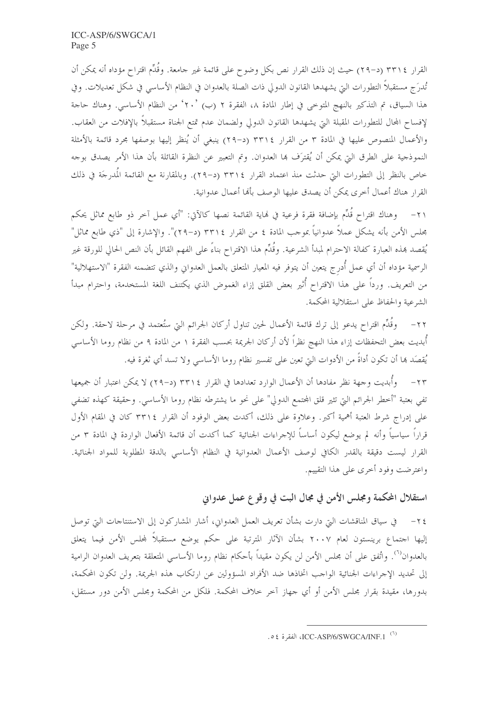القرار ٣٣١٤ (د–٢٩) حيث إن ذلك القرار نص بكل وضوح على قائمة غير جامعة. وقُدِّم اقتراح مؤداه أنه يمكن أن تُدرَج مستقبلاً التطورات التي يشهدها القانون الدولي ذات الصلة بالعدوان في النظام الأساسي في شكل تعديلات. وفي هذا السياق، تم التذكير بالنهج المتوحى في إطار المادة ٨، الفقرة ٢ (ب) ٢٠٬ من النظام الأساسي. وهناك حاجة لإفساح المحال للتطورات المقبلة التي يشهدها القانون الدولي ولضمان عدم تمتع الجناة مستقبلاً بالإفلات من العقاب. والأعمال المنصوص عليها في المادة ٣ من القرار ٣٣١٤ (د-٢٩) ينبغي أن يُنظر إليها بوصفها مجرد قائمة بالأمثلة النموذجية على الطرق التي يمكن أن يُقترَف ها العدوان. وتم التعبير عن النظرة القائلة بأن هذا الأمر يصدق بوجه خاص بالنظر إلى التطورات التي حدثت منذ اعتماد القرار ٣٣١٤ (د–٢٩). وبالمقارنة مع القائمة المُدرجَة في ذلك القرار هناك أعمال أخرى يمكن أن يصدق عليها الوصف بألها أعمال عدوانية.

٢١– وهناك اقتراح قُدٍّم بإضافة فقرة فرعية في نماية القائمة نصها كالآتي: "أي عمل آخر ذو طابع مماثل يحكم بحلس الأمن بأنه يشكل عملاً عدوانياً بموحب المادة ٤ من القرار ٣٣١٤ (د–٢٩)". والإشارة إلى "ذي طابع مماثل" يُقصد بمذه العبارة كفالة الاحترام لمبدأ الشرعية. وقُدِّم هذا الاقتراح بناءً على الفهم القائل بأن النص الحالي للورقة غير الرسمية مؤداه أن أي عمل أُدرج يتعين أن يتوفر فيه المعيار المتعلق بالعمل العدواني والذي تتضمنه الفقرة "الاستهلالية" من التعريف. ورداً على هذا الاقتراح أُثير بعض القلق إزاء الغموض الذي يكتنف اللغة المستخدمة، واحترام مبدأ الشرعية والحفاظ على استقلالية المحكمة.

٢٢– وقُلِّم اقتراح يدعو إلى ترك قائمة الأعمال لحين تناول أركان الجرائم التي ستُعتمد في مرحلة لاحقة. ولكن أبديت بعض التحفظات إزاء هذا النهج نظراً لأن أركان الجريمة بحسب الفقرة ١ من المادة ٩ من نظام روما الأساسي يُقصَد ها أن تكون أداةً من الأدوات التي تعين على تفسير نظام روما الأساسي ولا تسد أي ثغرة فيه.

٢٣– وأُبديت وجهة نظر مفادها أن الأعمال الوارد تعدادها في القرار ٣٣١٤ (د–٢٩) لا يمكن اعتبار أن جميعها تفي بعتبة "أحطر الجرائم التي تثير قلق المحتمع الدولي" على نحوٍ ما يشترطه نظام روما الأساسي. وحقيقة كهذه تضفي على إدراج شرط العتبة أهمية أكبر. وعلاوة على ذلك، أكدت بعض الوفود أن القرار ٣٣١٤ كان في المقام الأول قراراً سياسياً وأنه لم يوضع ليكون أساساً للإجراءات الجنائية كما أكدت أن قائمة الأفعال الواردة في المادة ٣ من القرار ليست دقيقة بالقدر الكافي لوصف الأعمال العدوانية في النظام الأساسي بالدقة المطلوبة للمواد الجنائية. واعترضت وفود أخرى على هذا التقييم.

# استقلال المحكمة ومجلس الأمن في مجال البت في وقوع عمل عدواني

إليها اجتماع برينستون لعام ٢٠٠٧ بشأن الآثار المترتبة على حكم يوضع مستقبلاً لمحلس الأمن فيما يتعلق بالعدوان<sup>(٦)</sup>. واتُفق على أن مجلس الأمن لن يكون مقيداً بأحكام نظام روما الأساسي المتعلقة بتعريف العدوان الرامية إلى تحديد الإجراءات الجنائية الواحب اتخاذها ضد الأفراد المسؤولين عن ارتكاب هذه الجريمة. ولن تكون المحكمة، بدورها، مقيدة بقرار مجلس الأمن أو أي جهاز آخر خلاف المحكمة. فلكل من المحكمة ومجلس الأمن دور مستقل،

<sup>05)</sup> ICC-ASP/6/SWGCA/INF.1 الفقرة ٥٤.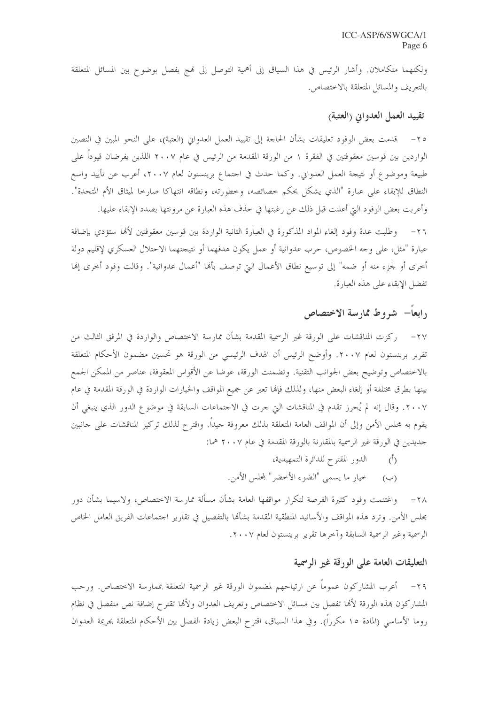ولكنهما متكاملان. وأشار الرئيس في هذا السياق إلى أهمية التوصل إلى فمج يفصل بوضوح بين المسائل المتعلقة بالتعريف والمسائل المتعلقة بالاختصاص.

#### تقييد العمل العدوايي (العتبة)

٢٥– قدمت بعض الوفود تعليقات بشأن الحاجة إلى تقييد العمل العدواني (العتبة)، على النحو المبين في النصين الواردين بين قوسين معقوفتين في الفقرة ١ من الورقة المقدمة من الرئيس في عام ٢٠٠٧ اللذين يفرضان قيوداً على طبيعة وموضوع أو نتيجة العمل العدواني. وكما حدث في احتماع برينستون لعام ٢٠٠٧، أعرب عن تأييد واسع النطاق للإبقاء على عبارة "الذي يشكل بحكم خصائصه، وخطورته، ونطاقه انتهاكا صارخا لميثاق الأم المتحدة". وأعربت بعض الوفود التي أعلنت قبل ذلك عن رغبتها في حذف هذه العبارة عن مرونتها بصدد الإبقاء عليها.

٢٦– وطلبت عدة وفود إلغاء المواد المذكورة في العبارة الثانية الواردة بين قوسين معقوفتين لألها ستؤدي بإضافة عبارة "مثل، على وجه الخصوص، حرب عدوانية أو عمل يكون هدفهما أو نتيجتهما الاحتلال العسكري لإقليم دولة أخرى أو لجزء منه أو ضمه" إلى توسيع نطاق الأعمال التي توصف بألها "أعمال عدوانية". وقالت وفود أخرى إلها تفضل الإبقاء على هذه العبارة.

# رابعاً– شروط ممارسة الاختصاص

٢٧– ركزت المناقشات على الورقة غير الرسمية المقدمة بشأن ممارسة الاختصاص والواردة في المرفق الثالث من تقرير برينستون لعام ٢٠٠٧. وأوضح الرئيس أن الهدف الرئيسي من الورقة هو تحسين مضمون الأحكام المتعلقة بالاختصاص وتوضيح بعض الجوانب التقنية. وتضمنت الورقة، عوضا عن الأقواس المعقوفة، عناصر من الممكن الجمع بينها بطرق مختلفة أو إلغاء البعض منها، ولذلك فإنها تعبر عن جميع المواقف والخيارات الواردة في الورقة المقدمة في عام ٢٠٠٧. وقال إنه لم يُحرز تقدم في المناقشات التي جرت في الاجتماعات السابقة في موضوع الدور الذي ينبغي أن يقوم به مجلس الأمن وإلى أن المواقف العامة المتعلقة بذلك معروفة حيداً. واقترح لذلك تركيز المناقشات على حانبين حديدين في الورقة غير الرسمية بالمقارنة بالورقة المقدمة في عام ٢٠٠٧ هما:

- (أ) الدور المقترح للدائرة التمهيدية،
- (ب) خيار ما يسمى "الضوء الأخضر" لمحلس الأمن.

٢٨– واغتنمت وفود كثيرة الفرصة لتكرار مواقفها العامة بشأن مسألة ممارسة الاختصاص، ولاسيما بشأن دور مجلس الأمن. وترد هذه المواقف والأسانيد المنطقية المقدمة بشأهًا بالتفصيل في تقارير اجتماعات الفريق العامل الخاص الرسمية وغير الرسمية السابقة وآحرها تقرير برينستون لعام ٢٠٠٧.

## التعليقات العامة على الورقة غير الرسمية

٢٩- أعرب المشاركون عموماً عن ارتياحهم لمضمون الورقة غير الرسمية المتعلقة بممارسة الاختصاص. ورحب المشاركون بهذه الورقة لألها تفصل بين مسائل الاختصاص وتعريف العدوان ولألها تقترح إضافة نص منفصل في نظام روما الأساسي (المادة ١٥ مكرراً). وفي هذا السياق، اقترح البعض زيادة الفصل بين الأحكام المتعلقة بجريمة العدوان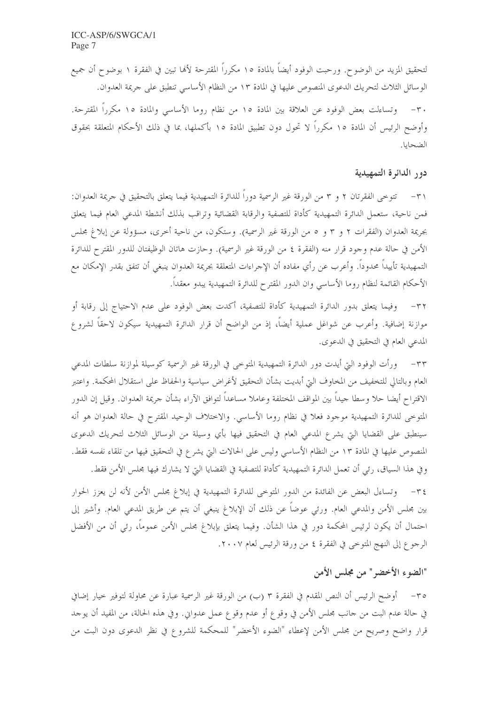لتحقيق المزيد من الوضوح. ورحبت الوفود أيضاً بالمادة ١٥ مكرراً المقترحة لألها تبين في الفقرة ١ بوضوح أن جميع الوسائل الثلاث لتحريك الدعوى المنصوص عليها في المادة ١٣ من النظام الأساسي تنطبق على جريمة العدوان.

٣٠ – وتساءلت بعض الوفود عن العلاقة بين المادة ١٥ من نظام روما الأساسي والمادة ١٥ مكرراً المقترحة. وأوضح الرئيس أن المادة ١٥ مكرراً لا تحول دون تطبيق المادة ١٥ بأكملها، بما في ذلك الأحكام المتعلقة بحقوق الضحايا.

#### دور الدائرة التمهيدية

٣١ – تتوخى الفقرتان ٢ و ٣ من الورقة غير الرسمية دوراً للدائرة التمهيدية فيما يتعلق بالتحقيق في جريمة العدوان: فمن ناحية، ستعمل الدائرة التمهيدية كأداة للتصفية والرقابة القضائية وتراقب بذلك أنشطة المدعى العام فيما يتعلق بجريمة العدوان (الفقرات ٢ و ٣ و ٥ من الورقة غير الرسمية). وستكون، من ناحية أخرى، مسؤولة عن إبلاغ مجلس الأمن في حالة عدم وجود قرار منه (الفقرة ٤ من الورقة غير الرسمية). وحازت هاتان الوظيفتان للدور المقترح للدائرة التمهيدية تأييداً محدوداً. وأعرب عن رأي مفاده أن الإحراءات المتعلقة بجريمة العدوان ينبغي أن تتفق بقدر الإمكان مع الأحكام القائمة لنظام روما الأساسي وان الدور المقترح للدائرة التمهيدية يبدو معقداً.

٣٢– وفيما يتعلق بدور الدائرة التمهيدية كأداة للتصفية، أكدت بعض الوفود على عدم الاحتياج إلى رقابة أو موازنة إضافية. وأعرب عن شواغل عملية أيضاً، إذ من الواضح أن قرار الدائرة التمهيدية سيكون لاحقاً لشروع المدعى العام في التحقيق في الدعوى.

٣٣– ورأت الوفود التي أيدت دور الدائرة التمهيدية المتوحى في الورقة غير الرسمية كوسيلة لموازنة سلطات المدعى العام وبالتالي للتخفيف من المخاوف التي أبديت بشأن التحقيق لأغراض سياسية والحفاظ على استقلال المحكمة. واعتبر الاقتراح أيضا حلا وسطا حيداً بين المواقف المختلفة وعاملا مساعداً لتوافق الآراء بشأن حريمة العدوان. وقيل إن الدور المتوحى للدائرة التمهيدية موجود فعلا في نظام روما الأساسي. والاختلاف الوحيد المقترح في حالة العدوان هو أنه سينطبق على القضايا التي يشرع المدعى العام في التحقيق فيها بأي وسيلة من الوسائل الثلاث لتحريك الدعوى المنصوص عليها في المادة ١٣ من النظام الأساسي وليس على الحالات التي يشرع في التحقيق فيها من تلقاء نفسه فقط. وفي هذا السياق، رئي أن تعمل الدائرة التمهيدية كأداة للتصفية في القضايا التي لا يشارك فيها مجلس الأمن فقط.

٣٤- وتساءل البعض عن الفائدة من الدور المتوحى للدائرة التمهيدية في إبلاغ مجلس الأمن لأنه لن يعزز الحوار بين مجلس الأمن والمدعى العام. ورئي عوضاً عن ذلك أن الإبلاغ ينبغي أن يتم عن طريق المدعى العام. وأشير إلى احتمال أن يكون لرئيس المحكمة دور في هذا الشأن. وفيما يتعلق بإبلاغ مجلس الأمن عموماً، رئي أن من الأفضل الرجوع إلى النهج المتوحى في الفقرة ٤ من ورقة الرئيس لعام ٢٠٠٧.

# "الضوء الأخضر" من مجلس الأمن

٣٥– أوضح الرئيس أن النص المقدم في الفقرة ٣ (ب) من الورقة غير الرسمية عبارة عن محاولة لتوفير خيار إضافي في حالة عدم البت من حانب محلس الأمن في وقوع أو عدم وقوع عمل عدواني. وفي هذه الحالة، من المفيد أن يوحد قرار واضح وصريح من مجلس الأمن لإعطاء "الضوء الأخضر" للمحكمة للشروع في نظر الدعوى دون البت من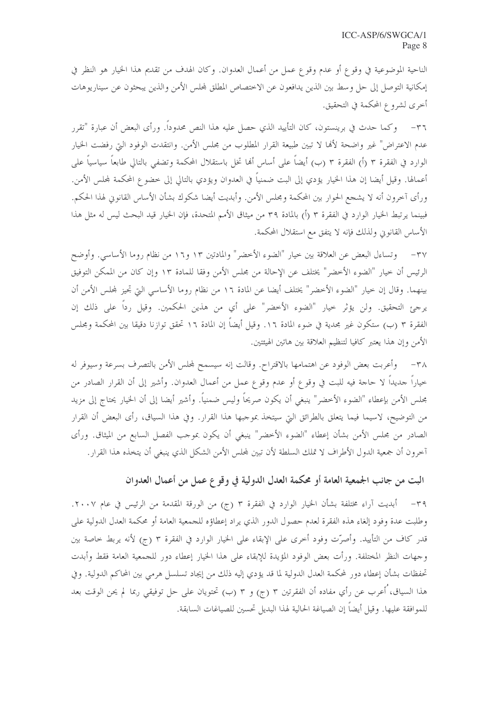الناحية الموضوعية في وقوع أو عدم وقوع عمل من أعمال العدوان. وكان الهدف من تقديم هذا الخيار هو النظر في إمكانية التوصل إلى حل وسط بين الذين يدافعون عن الاختصاص المطلق لمحلس الأمن والذين يبحثون عن سيناريوهات أخرى لشروع المحكمة في التحقيق.

٣٦– وكما حدث في برينستون، كان التأييد الذي حصل عليه هذا النص محدوداً. ورأى البعض أن عبارة "تقرر عدم الاعتراض" غير واضحة لألها لا تبين طبيعة القرار المطلوب من مجلس الأمن. وانتقدت الوفود التي رفضت الخيار الوارد في الفقرة ٣ (أ) الفقرة ٣ (ب) أيضاً على أساس ألها تخل باستقلال المحكمة وتضفى بالتالي طابعاً سياسياً على أعمالها. وقيل أيضا إن هذا الخيار يؤدي إلى البت ضمنياً في العدوان ويؤدي بالتالي إلى خضوع المحكمة لمحلس الأمن. ورأى آخرون أنه لا يشجع الحوار بين المحكمة ومجلس الأمن. وأبديت أيضا شكوك بشأن الأساس القانوني لهذا الحكم. فبينما يرتبط الخيار الوارد في الفقرة ٣ (أ) بالمادة ٣٩ من ميثاق الأمم المتحدة، فإن الخيار قيد البحث ليس له مثل هذا الأساس القانوين ولذلك فإنه لا يتفق مع استقلال المحكمة.

٣٧ – وتساءل البعض عن العلاقة بين حيار "الضوء الأحضر" والمادتين ١٣ و١٦ من نظام روما الأساسي. وأوضح الرئيس أن حيار "الضوء الأخضر" يختلف عن الإحالة من مجلس الأمن وفقا للمادة ١٣ وإن كان من الممكن التوفيق بينهما. وقال إن حيار "الضوء الأخضر" يختلف أيضا عن المادة ١٦ من نظام روما الأساسي التي تجيز لمحلس الأمن أن يرجئ التحقيق. ولن يؤثر حيار "الضوء الأخضر" على أي من هذين الحكمين. وقيل رداً على ذلك إن الفقرة ٣ (ب) ستكون غير مجدية في ضوء المادة ١٦. وقيل أيضاً إن المادة ١٦ تحقق توازنا دقيقا بين المحكمة ومجلس الأمن وإن هذا يعتبر كافيا لتنظيم العلاقة بين هاتين الهيئتين.

٣٨ – وأعربت بعض الوفود عن اهتمامها بالاقتراح. وقالت إنه سيسمح لمجلس الأمن بالتصرف بسرعة وسيوفر له خياراً حديداً لا حاجة فيه للبت في وقوع أو عدم وقوع عمل من أعمال العدوان. وأشير إلى أن القرار الصادر من محلس الأمن بإعطاء "الضوء الأخضر" ينبغي أن يكون صريحاً وليس ضمنياً. وأشير أيضا إلى أن الخيار يحتاج إلى مزيد من التوضيح، لاسيما فيما يتعلق بالطرائق التي سيتخذ بموجبها هذا القرار. وفي هذا السياق، رأى البعض أن القرار الصادر من مجلس الأمن بشأن إعطاء "الضوء الأخضر" ينبغي أن يكون بموجب الفصل السابع من الميثاق. ورأى آخرون أن جمعية الدول الأطراف لا تملك السلطة لأن تبين لمحلس الأمن الشكل الذي ينبغي أن يتخذه هذا القرار .

# البت من جانب الجمعية العامة أو محكمة العدل الدولية في وقوع عملٍ من أعمال العدوان

٣٩– أبديت آراء مختلفة بشأن الخيار الوارد في الفقرة ٣ (ج) من الورقة المقدمة من الرئيس في عام ٢٠٠٧. وطلبت عدة وفود إلغاء هذه الفقرة لعدم حصول الدور الذي يراد إعطاؤه للجمعية العامة أو محكمة العدل الدولية على قدر كاف من التأييد. وأصرّت وفود أخرى على الإبقاء على الخيار الوارد في الفقرة ٣ (ج) لأنه يربط خاصة بين وجهات النظر المختلفة. ورأت بعض الوفود المؤيدة للإبقاء على هذا الخيار إعطاء دور للجمعية العامة فقط وأبدت تحفظات بشأن إعطاء دور لمحكمة العدل الدولية لما قد يؤدي إليه ذلك من إيجاد تسلسل هرمي بين المحاكم الدولية. وفي هذا السياق، ُأعرب عن رأي مفاده أن الفقرتين ٣ (ج) و ٣ (ب) تحتويان على حل توفيقي ربما لم يحن الوقت بعد للموافقة عليها. وقيل أيضاً إن الصياغة الحالية لهذا البديل تحسين للصياغات السابقة.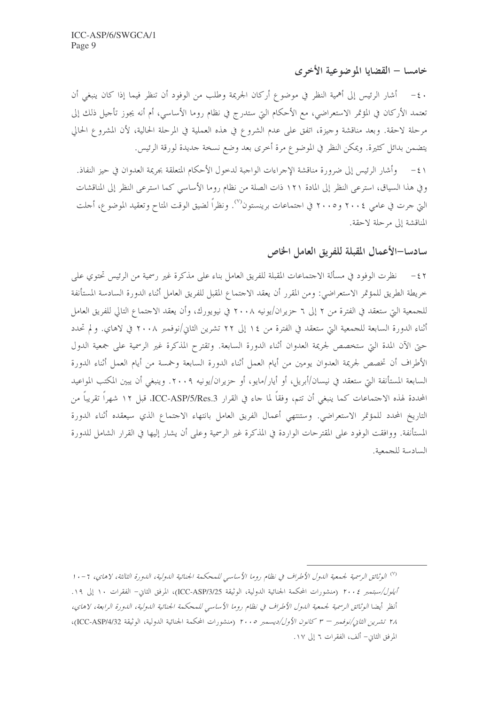## خامسا – القضايا الموضوعية الأخرى

· ٤- أشار الرئيس إلى أهمية النظر في موضوع أركان الجريمة وطلب من الوفود أن تنظر فيما إذا كان ينبغي أن تعتمد الأركان في المؤتمر الاستعراضي، مع الأحكام التي ستدرج في نظام روما الأساسي، أم أنه يجوز تأحيل ذلك إلى مرحلة لاحقة. وبعد مناقشة وحيزة، اتفق على عدم الشروع في هذه العملية في المرحلة الحالية، لأن المشروع الحالي يتضمن بدائل كثيرة. ويمكن النظر في الموضوع مرة أخرى بعد وضع نسخة حديدة لورقة الرئيس.

٤١ – وأشار الرئيس إلى ضرورة مناقشة الإجراءات الواجبة لدحول الأحكام المتعلقة بجريمة العدوان في حيز النفاذ. وفي هذا السياق، استرعى النظر إلى المادة ١٢١ ذات الصلة من نظام روما الأساسي كما استرعى النظر إلى المناقشات التي جرت في عامي ٢٠٠٤ و٢٠٠٥ في اجتماعات برينستون"). ونظراً لضيق الوقت المتاح وتعقيد الموضوع، أحلت المناقشة إلى مرحلة لاحقة.

سادسا–الأعمال المقبلة للفريق العامل الخاص

نظرت الوفود في مسألة الاجتماعات المقبلة للفريق العامل بناء على مذكرة غير رسمية من الرئيس تحتوي على  $-57$ خريطة الطريق للمؤتمر الاستعراضي: ومن المقرر أن يعقد الاحتماع المقبل للفريق العامل أثناء الدورة السادسة المستأنفة للجمعية التي ستعقد في الفترة من ٢ إلى ٦ حزيران/يونيه ٢٠٠٨ في نيويورك، وأن يعقد الاجتماع التالي للفريق العامل أثناء الدورة السابعة للجمعية التي ستعقد في الفترة من ١٤ إلى ٢٢ تشرين الثاني/نوفمبر ٢٠٠٨ في لاهاي. ولم تحدد حتى الآن المدة التي ستخصص لجريمة العدوان أثناء الدورة السابعة. وتقترح المذكرة غير الرسمية على جمعية الدول الأطراف أن تخصص لجريمة العدوان يومين من أيام العمل أثناء الدورة السابعة وخمسة من أيام العمل أثناء الدورة السابعة المستأنفة التي ستعقد في نيسان/أبريل، أو أيار/مايو، أو حزيران/يونيه ٢٠٠٩. وينبغي أن يبين المكتب المواعيد المحددة لهذه الاجتماعات كما ينبغي أن تتم، وفقاً لما جاء في القرار ICC-ASP/5/Res.3، قبل ١٢ شهراً تقريباً من التاريخ المحدد للمؤتمر الاستعراضي. وستنتهي أعمال الفريق العامل بانتهاء الاحتماع الذي سيعقده أثناء الدورة المستأنفة. ووافقت الوفود على المقترحات الواردة في المذكرة غير الرسمية وعلى أن يشار إليها في القرار الشامل للدورة السادسة للجمعية.

<sup>&</sup>lt;sup>(٧)</sup> الوثائق الرسمية لجمعية الدول الأطراف في نظام روما الأساسي للمحكمة الجنائية الدولية، الدورة الثالثة، لاهاي، ٦ - ١٠ *أيلول/سبتمبر ٢٠٠٤* (منشورات المحكمة الجنائية الدولية، الوثيقة ICC-ASP/3/25)، المرفق الثاني- الفقرات ١٠ إلى ١٩. أنظر أيضا الوثائق الرسمية لجمعية الدول الأطراف في نظام روما الأساسي للمحكمة الجنائية الدولية، الدورة الرابعة، لاهاي، ٢٨ تشرين الثاني/نوفمبر – ٣ كانون الأول/ديسمبر ٢٠٠٥ (منشورات المحكمة الجنائية الدولية، الوثيقة ICC-ASP/4/32)، المرفق الثاني- ألف، الفقرات ٦ إلى ١٧.